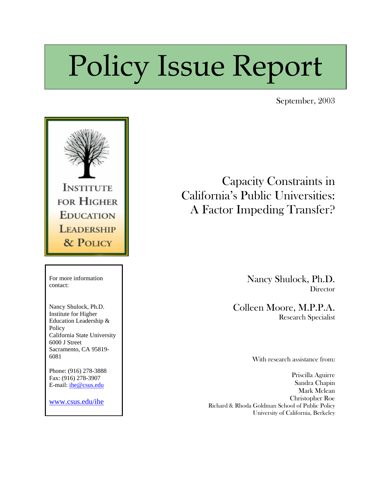# Policy Issue Report

September, 2003



 Capacity Constraints in California's Public Universities: A Factor Impeding Transfer?

> Nancy Shulock, Ph.D. **Director**

Colleen Moore, M.P.P.A. Research Specialist

With research assistance from:

Priscilla Aguirre Sandra Chapin Mark Mclean Christopher Roe Richard & Rhoda Goldman School of Public Policy University of California, Berkeley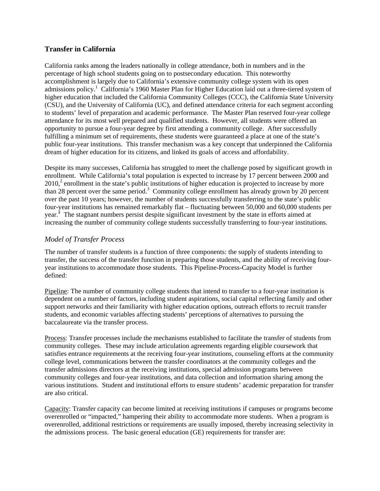## **Transfer in California**

California ranks among the leaders nationally in college attendance, both in numbers and in the percentage of high school students going on to postsecondary education. This noteworthy accomplishment is largely due to California's extensive community college system with its open admissions policy.<sup>[1](#page-7-0)</sup> California's 1960 Master Plan for Higher Education laid out a three-tiered system of higher education that included the California Community Colleges (CCC), the California State University (CSU), and the University of California (UC), and defined attendance criteria for each segment according to students' level of preparation and academic performance. The Master Plan reserved four-year college attendance for its most well prepared and qualified students. However, all students were offered an opportunity to pursue a four-year degree by first attending a community college. After successfully fulfilling a minimum set of requirements, these students were guaranteed a place at one of the state's public four-year institutions. This transfer mechanism was a key concept that underpinned the California dream of higher education for its citizens, and linked its goals of access and affordability.

Despite its many successes, California has struggled to meet the challenge posed by significant growth in enrollment. While California's total population is expected to increase by 17 percent between 2000 and  $2010<sup>2</sup>$  $2010<sup>2</sup>$  enrollment in the state's public institutions of higher education is projected to increase by more than 28 percent over the same period.<sup>3</sup> Community college enrollment has already grown by 20 percent over the past 10 years; however, the number of students successfully transferring to the state's public four-year institutions has remained remarkably flat – fluctuating between 50,000 and 60,000 students per year.<sup>[4](#page-7-3)</sup> The stagnant numbers persist despite significant investment by the state in efforts aimed at increasing the number of community college students successfully transferring to four-year institutions.

### *Model of Transfer Process*

The number of transfer students is a function of three components: the supply of students intending to transfer, the success of the transfer function in preparing those students, and the ability of receiving fouryear institutions to accommodate those students. This Pipeline-Process-Capacity Model is further defined:

Pipeline: The number of community college students that intend to transfer to a four-year institution is dependent on a number of factors, including student aspirations, social capital reflecting family and other support networks and their familiarity with higher education options, outreach efforts to recruit transfer students, and economic variables affecting students' perceptions of alternatives to pursuing the baccalaureate via the transfer process.

Process: Transfer processes include the mechanisms established to facilitate the transfer of students from community colleges. These may include articulation agreements regarding eligible coursework that satisfies entrance requirements at the receiving four-year institutions, counseling efforts at the community college level, communications between the transfer coordinators at the community colleges and the transfer admissions directors at the receiving institutions, special admission programs between community colleges and four-year institutions, and data collection and information sharing among the various institutions. Student and institutional efforts to ensure students' academic preparation for transfer are also critical.

Capacity: Transfer capacity can become limited at receiving institutions if campuses or programs become overenrolled or "impacted," hampering their ability to accommodate more students. When a program is overenrolled, additional restrictions or requirements are usually imposed, thereby increasing selectivity in the admissions process. The basic general education (GE) requirements for transfer are: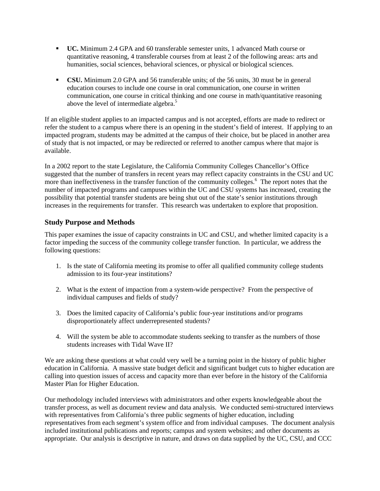- **UC.** Minimum 2.4 GPA and 60 transferable semester units, 1 advanced Math course or quantitative reasoning, 4 transferable courses from at least 2 of the following areas: arts and humanities, social sciences, behavioral sciences, or physical or biological sciences.
- **CSU.** Minimum 2.0 GPA and 56 transferable units; of the 56 units, 30 must be in general education courses to include one course in oral communication, one course in written communication, one course in critical thinking and one course in math/quantitative reasoning above the level of intermediate algebra.<sup>5</sup>

If an eligible student applies to an impacted campus and is not accepted, efforts are made to redirect or refer the student to a campus where there is an opening in the student's field of interest. If applying to an impacted program, students may be admitted at the campus of their choice, but be placed in another area of study that is not impacted, or may be redirected or referred to another campus where that major is available.

In a 2002 report to the state Legislature, the California Community Colleges Chancellor's Office suggested that the number of transfers in recent years may reflect capacity constraints in the CSU and UC more than ineffectiveness in the transfer function of the community colleges.<sup>[6](#page-7-5)</sup> The report notes that the number of impacted programs and campuses within the UC and CSU systems has increased, creating the possibility that potential transfer students are being shut out of the state's senior institutions through increases in the requirements for transfer. This research was undertaken to explore that proposition.

# **Study Purpose and Methods**

This paper examines the issue of capacity constraints in UC and CSU, and whether limited capacity is a factor impeding the success of the community college transfer function. In particular, we address the following questions:

- 1. Is the state of California meeting its promise to offer all qualified community college students admission to its four-year institutions?
- 2. What is the extent of impaction from a system-wide perspective? From the perspective of individual campuses and fields of study?
- 3. Does the limited capacity of California's public four-year institutions and/or programs disproportionately affect underrepresented students?
- 4. Will the system be able to accommodate students seeking to transfer as the numbers of those students increases with Tidal Wave II?

We are asking these questions at what could very well be a turning point in the history of public higher education in California. A massive state budget deficit and significant budget cuts to higher education are calling into question issues of access and capacity more than ever before in the history of the California Master Plan for Higher Education.

Our methodology included interviews with administrators and other experts knowledgeable about the transfer process, as well as document review and data analysis. We conducted semi-structured interviews with representatives from California's three public segments of higher education, including representatives from each segment's system office and from individual campuses. The document analysis included institutional publications and reports; campus and system websites; and other documents as appropriate. Our analysis is descriptive in nature, and draws on data supplied by the UC, CSU, and CCC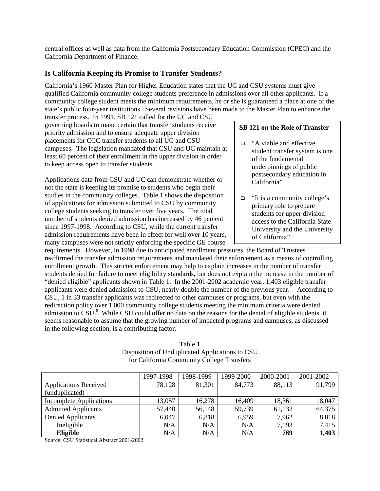central offices as well as data from the California Postsecondary Education Commission (CPEC) and the California Department of Finance.

## **Is California Keeping its Promise to Transfer Students?**

California's 1960 Master Plan for Higher Education states that the UC and CSU systems must give qualified California community college students preference in admissions over all other applicants. If a community college student meets the minimum requirements, he or she is guaranteed a place at one of the state's public four-year institutions. Several revisions have been made to the Master Plan to enhance the

transfer process. In 1991, SB 121 called for the UC and CSU governing boards to make certain that transfer students receive priority admission and to ensure adequate upper division placements for CCC transfer students to all UC and CSU campuses. The legislation mandated that CSU and UC maintain at least 60 percent of their enrollment in the upper division in order to keep access open to transfer students.

Applications data from CSU and UC can demonstrate whether or not the state is keeping its promise to students who begin their studies in the community colleges. Table 1 shows the disposition of applications for admission submitted to CSU by community college students seeking to transfer over five years. The total number of students denied admission has increased by 46 percent since 1997-1998. According to CSU, while the current transfer admission requirements have been in effect for well over 10 years, many campuses were not strictly enforcing the specific GE course

#### **SB 121 on the Role of Transfer**

- □ "A viable and effective student transfer system is one of the fundamental underpinnings of public postsecondary education in California"
- $\Box$  "It is a community college's primary role to prepare students for upper division access to the California State University and the University of California"

requirements. However, in 1998 due to anticipated enrollment pressures, the Board of Trustees reaffirmed the transfer admission requirements and mandated their enforcement as a means of controlling enrollment growth. This stricter enforcement may help to explain increases in the number of transfer students denied for failure to meet eligibility standards, but does not explain the increase in the number of "denied eligible" applicants shown in Table 1. In the 2001-2002 academic year, 1,403 eligible transfer applicants were denied admission to CSU, nearly double the number of the previous year.<sup>[7](#page-7-6)</sup> According to CSU, 1 in 33 transfer applicants was redirected to other campuses or programs, but even with the redirection policy over 1,000 community college students meeting the minimum criteria were denied admission to CSU.<sup>8</sup> While CSU could offer no data on the reasons for the denial of eligible students, it seems reasonable to assume that the growing number of impacted programs and campuses, as discussed in the following section, is a contributing factor.

Table 1 Disposition of Unduplicated Applications to CSU for California Community College Transfers

|                                | 1997-1998 | 1998-1999 | 1999-2000 | 2000-2001 | 2001-2002 |
|--------------------------------|-----------|-----------|-----------|-----------|-----------|
| <b>Applications Received</b>   | 78,128    | 81,301    | 84,773    | 88,113    | 91,799    |
| (unduplicated)                 |           |           |           |           |           |
| <b>Incomplete Applications</b> | 13,057    | 16,278    | 16,409    | 18,361    | 18,047    |
| <b>Admitted Applicants</b>     | 57,440    | 56,148    | 59,739    | 61,132    | 64,375    |
| Denied Applicants              | 6,047     | 6,818     | 6,959     | 7,962     | 8,818     |
| Ineligible                     | N/A       | N/A       | N/A       | 7,193     | 7,415     |
| Eligible                       | N/A       | N/A       | N/A       | 769       | 1,403     |

Source: CSU Statistical Abstract 2001-2002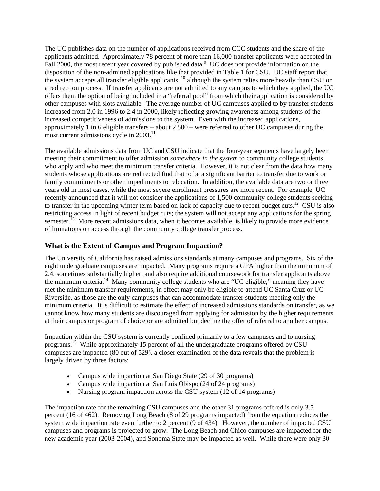The UC publishes data on the number of applications received from CCC students and the share of the applicants admitted. Approximately 78 percent of more than 16,000 transfer applicants were accepted in Fall 2000, the most recent year covered by published data.<sup>[9](#page-7-8)</sup> UC does not provide information on the disposition of the non-admitted applications like that provided in Table 1 for CSU. UC staff report that the system accepts all transfer eligible applicants, [10](#page-7-9) although the system relies more heavily than CSU on a redirection process. If transfer applicants are not admitted to any campus to which they applied, the UC offers them the option of being included in a "referral pool" from which their application is considered by other campuses with slots available. The average number of UC campuses applied to by transfer students increased from 2.0 in 1996 to 2.4 in 2000, likely reflecting growing awareness among students of the increased competitiveness of admissions to the system. Even with the increased applications, approximately 1 in 6 eligible transfers – about 2,500 – were referred to other UC campuses during the most current admissions cycle in  $2003$ .<sup>11</sup>

The available admissions data from UC and CSU indicate that the four-year segments have largely been meeting their commitment to offer admission *somewhere in the system* to community college students who apply and who meet the minimum transfer criteria. However, it is not clear from the data how many students whose applications are redirected find that to be a significant barrier to transfer due to work or family commitments or other impediments to relocation. In addition, the available data are two or three years old in most cases, while the most severe enrollment pressures are more recent. For example, UC recently announced that it will not consider the applications of 1,500 community college students seeking to transfer in the upcoming winter term based on lack of capacity due to recent budget cuts.<sup>12</sup> CSU is also restricting access in light of recent budget cuts; the system will not accept any applications for the spring semester.<sup>13</sup> More recent admissions data, when it becomes available, is likely to provide more evidence of limitations on access through the community college transfer process.

## **What is the Extent of Campus and Program Impaction?**

The University of California has raised admissions standards at many campuses and programs. Six of the eight undergraduate campuses are impacted. Many programs require a GPA higher than the minimum of 2.4, sometimes substantially higher, and also require additional coursework for transfer applicants above the minimum criteria.[14](#page-7-13) Many community college students who are "UC eligible," meaning they have met the minimum transfer requirements, in effect may only be eligible to attend UC Santa Cruz or UC Riverside, as those are the only campuses that can accommodate transfer students meeting only the minimum criteria. It is difficult to estimate the effect of increased admissions standards on transfer, as we cannot know how many students are discouraged from applying for admission by the higher requirements at their campus or program of choice or are admitted but decline the offer of referral to another campus.

Impaction within the CSU system is currently confined primarily to a few campuses and to nursing programs.[15](#page-7-14) While approximately 15 percent of all the undergraduate programs offered by CSU campuses are impacted (80 out of 529), a closer examination of the data reveals that the problem is largely driven by three factors:

- Campus wide impaction at San Diego State (29 of 30 programs)
- Campus wide impaction at San Luis Obispo (24 of 24 programs)
- Nursing program impaction across the CSU system (12 of 14 programs)

The impaction rate for the remaining CSU campuses and the other 31 programs offered is only 3.5 percent (16 of 462). Removing Long Beach (8 of 29 programs impacted) from the equation reduces the system wide impaction rate even further to 2 percent (9 of 434). However, the number of impacted CSU campuses and programs is projected to grow. The Long Beach and Chico campuses are impacted for the new academic year (2003-2004), and Sonoma State may be impacted as well. While there were only 30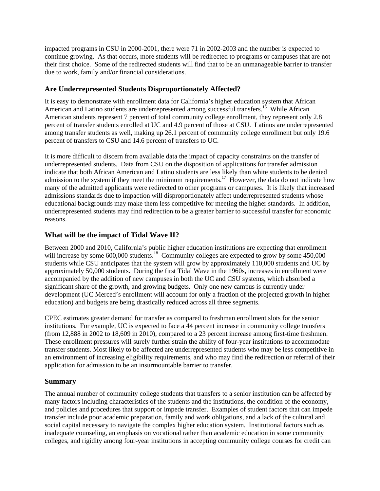impacted programs in CSU in 2000-2001, there were 71 in 2002-2003 and the number is expected to continue growing. As that occurs, more students will be redirected to programs or campuses that are not their first choice. Some of the redirected students will find that to be an unmanageable barrier to transfer due to work, family and/or financial considerations.

## **Are Underrepresented Students Disproportionately Affected?**

It is easy to demonstrate with enrollment data for California's higher education system that African American and Latino students are underrepresented among successful transfers.<sup>16</sup> While African American students represent 7 percent of total community college enrollment, they represent only 2.8 percent of transfer students enrolled at UC and 4.9 percent of those at CSU. Latinos are underrepresented among transfer students as well, making up 26.1 percent of community college enrollment but only 19.6 percent of transfers to CSU and 14.6 percent of transfers to UC.

It is more difficult to discern from available data the impact of capacity constraints on the transfer of underrepresented students. Data from CSU on the disposition of applications for transfer admission indicate that both African American and Latino students are less likely than white students to be denied admission to the system if they meet the minimum requirements.<sup>17</sup> However, the data do not indicate how many of the admitted applicants were redirected to other programs or campuses. It is likely that increased admissions standards due to impaction will disproportionately affect underrepresented students whose educational backgrounds may make them less competitive for meeting the higher standards. In addition, underrepresented students may find redirection to be a greater barrier to successful transfer for economic reasons.

# **What will be the impact of Tidal Wave II?**

Between 2000 and 2010, California's public higher education institutions are expecting that enrollment will increase by some 600,000 students.<sup>18</sup> Community colleges are expected to grow by some 450,000 students while CSU anticipates that the system will grow by approximately 110,000 students and UC by approximately 50,000 students. During the first Tidal Wave in the 1960s, increases in enrollment were accompanied by the addition of new campuses in both the UC and CSU systems, which absorbed a significant share of the growth, and growing budgets. Only one new campus is currently under development (UC Merced's enrollment will account for only a fraction of the projected growth in higher education) and budgets are being drastically reduced across all three segments.

CPEC estimates greater demand for transfer as compared to freshman enrollment slots for the senior institutions. For example, UC is expected to face a 44 percent increase in community college transfers (from 12,888 in 2002 to 18,609 in 2010), compared to a 23 percent increase among first-time freshmen. These enrollment pressures will surely further strain the ability of four-year institutions to accommodate transfer students. Most likely to be affected are underrepresented students who may be less competitive in an environment of increasing eligibility requirements, and who may find the redirection or referral of their application for admission to be an insurmountable barrier to transfer.

## **Summary**

The annual number of community college students that transfers to a senior institution can be affected by many factors including characteristics of the students and the institutions, the condition of the economy, and policies and procedures that support or impede transfer. Examples of student factors that can impede transfer include poor academic preparation, family and work obligations, and a lack of the cultural and social capital necessary to navigate the complex higher education system. Institutional factors such as inadequate counseling, an emphasis on vocational rather than academic education in some community colleges, and rigidity among four-year institutions in accepting community college courses for credit can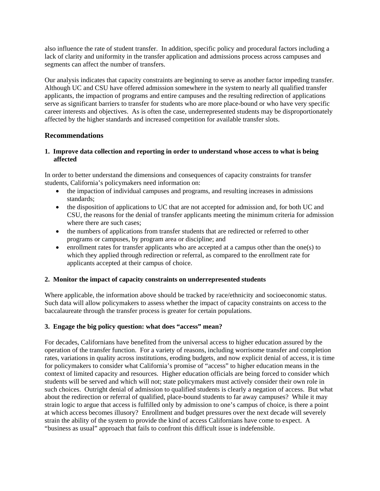also influence the rate of student transfer. In addition, specific policy and procedural factors including a lack of clarity and uniformity in the transfer application and admissions process across campuses and segments can affect the number of transfers.

Our analysis indicates that capacity constraints are beginning to serve as another factor impeding transfer. Although UC and CSU have offered admission somewhere in the system to nearly all qualified transfer applicants, the impaction of programs and entire campuses and the resulting redirection of applications serve as significant barriers to transfer for students who are more place-bound or who have very specific career interests and objectives. As is often the case, underrepresented students may be disproportionately affected by the higher standards and increased competition for available transfer slots.

### **Recommendations**

#### **1. Improve data collection and reporting in order to understand whose access to what is being affected**

In order to better understand the dimensions and consequences of capacity constraints for transfer students, California's policymakers need information on:

- the impaction of individual campuses and programs, and resulting increases in admissions standards;
- the disposition of applications to UC that are not accepted for admission and, for both UC and CSU, the reasons for the denial of transfer applicants meeting the minimum criteria for admission where there are such cases;
- the numbers of applications from transfer students that are redirected or referred to other programs or campuses, by program area or discipline; and
- enrollment rates for transfer applicants who are accepted at a campus other than the one(s) to which they applied through redirection or referral, as compared to the enrollment rate for applicants accepted at their campus of choice.

#### **2. Monitor the impact of capacity constraints on underrepresented students**

Where applicable, the information above should be tracked by race/ethnicity and socioeconomic status. Such data will allow policymakers to assess whether the impact of capacity constraints on access to the baccalaureate through the transfer process is greater for certain populations.

#### **3. Engage the big policy question: what does "access" mean?**

For decades, Californians have benefited from the universal access to higher education assured by the operation of the transfer function. For a variety of reasons, including worrisome transfer and completion rates, variations in quality across institutions, eroding budgets, and now explicit denial of access, it is time for policymakers to consider what California's promise of "access" to higher education means in the context of limited capacity and resources. Higher education officials are being forced to consider which students will be served and which will not; state policymakers must actively consider their own role in such choices. Outright denial of admission to qualified students is clearly a negation of access. But what about the redirection or referral of qualified, place-bound students to far away campuses? While it may strain logic to argue that access is fulfilled only by admission to one's campus of choice, is there a point at which access becomes illusory? Enrollment and budget pressures over the next decade will severely strain the ability of the system to provide the kind of access Californians have come to expect. A "business as usual" approach that fails to confront this difficult issue is indefensible.